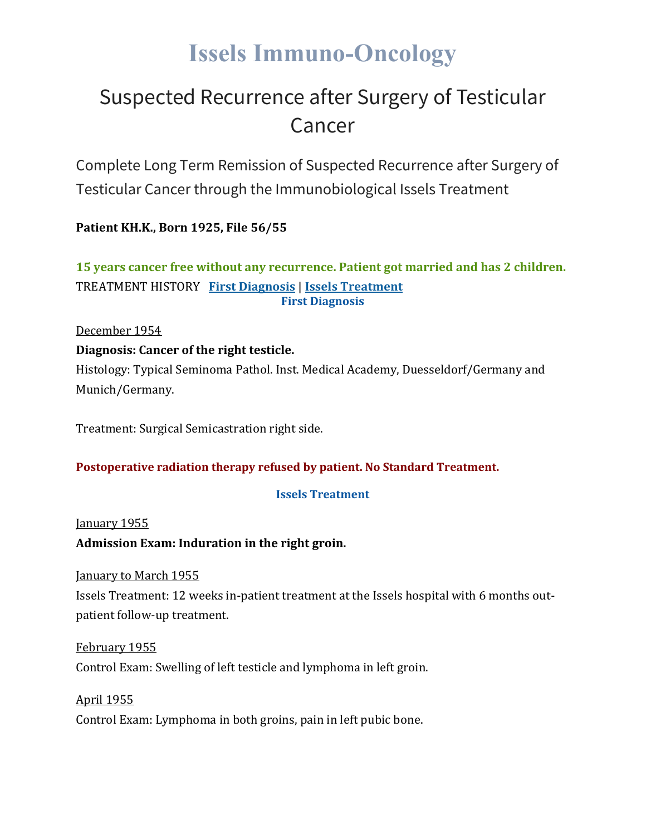# **Issels Immuno-Oncology**

# Suspected Recurrence after Surgery of Testicular Cancer

Complete Long Term Remission of Suspected Recurrence after Surgery of Testicular Cancer through the Immunobiological Issels Treatment

**Patient KH.K., Born 1925, File 56/55**

### **15 years cancer free without any recurrence. Patient got married and has 2 children.** TREATMENT HISTORY **First [Diagnosis](https://issels.com/cancer-cases/testicular-5-suspected-recurrence-after-surgery/#First)** | **Issels [Treatment](https://issels.com/cancer-cases/testicular-5-suspected-recurrence-after-surgery/#Issels) First Diagnosis**

December 1954

#### **Diagnosis: Cancer of the right testicle.**

Histology: Typical Seminoma Pathol. Inst. Medical Academy, Duesseldorf/Germany and Munich/Germany.

Treatment: Surgical Semicastration right side.

#### **Postoperative radiation therapy refused by patient. No Standard Treatment.**

#### **Issels Treatment**

January 1955

#### **Admission Exam: Induration in the right groin.**

January to March 1955

Issels Treatment: 12 weeks in-patient treatment at the Issels hospital with 6 months outpatient follow-up treatment.

February 1955 Control Exam: Swelling of left testicle and lymphoma in left groin.

April 1955 Control Exam: Lymphoma in both groins, pain in left pubic bone.